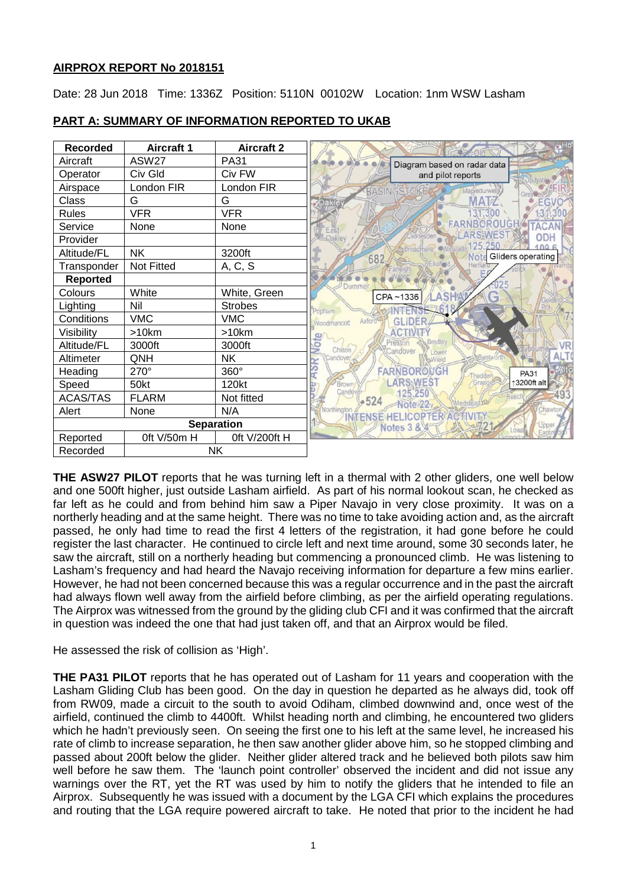# **AIRPROX REPORT No 2018151**

Date: 28 Jun 2018 Time: 1336Z Position: 5110N 00102W Location: 1nm WSW Lasham



# **PART A: SUMMARY OF INFORMATION REPORTED TO UKAB**

**THE ASW27 PILOT** reports that he was turning left in a thermal with 2 other gliders, one well below and one 500ft higher, just outside Lasham airfield. As part of his normal lookout scan, he checked as far left as he could and from behind him saw a Piper Navajo in very close proximity. It was on a northerly heading and at the same height. There was no time to take avoiding action and, as the aircraft passed, he only had time to read the first 4 letters of the registration, it had gone before he could register the last character. He continued to circle left and next time around, some 30 seconds later, he saw the aircraft, still on a northerly heading but commencing a pronounced climb. He was listening to Lasham's frequency and had heard the Navajo receiving information for departure a few mins earlier. However, he had not been concerned because this was a regular occurrence and in the past the aircraft had always flown well away from the airfield before climbing, as per the airfield operating regulations. The Airprox was witnessed from the ground by the gliding club CFI and it was confirmed that the aircraft in question was indeed the one that had just taken off, and that an Airprox would be filed.

He assessed the risk of collision as 'High'.

**THE PA31 PILOT** reports that he has operated out of Lasham for 11 years and cooperation with the Lasham Gliding Club has been good. On the day in question he departed as he always did, took off from RW09, made a circuit to the south to avoid Odiham, climbed downwind and, once west of the airfield, continued the climb to 4400ft. Whilst heading north and climbing, he encountered two gliders which he hadn't previously seen. On seeing the first one to his left at the same level, he increased his rate of climb to increase separation, he then saw another glider above him, so he stopped climbing and passed about 200ft below the glider. Neither glider altered track and he believed both pilots saw him well before he saw them. The 'launch point controller' observed the incident and did not issue any warnings over the RT, yet the RT was used by him to notify the gliders that he intended to file an Airprox. Subsequently he was issued with a document by the LGA CFI which explains the procedures and routing that the LGA require powered aircraft to take. He noted that prior to the incident he had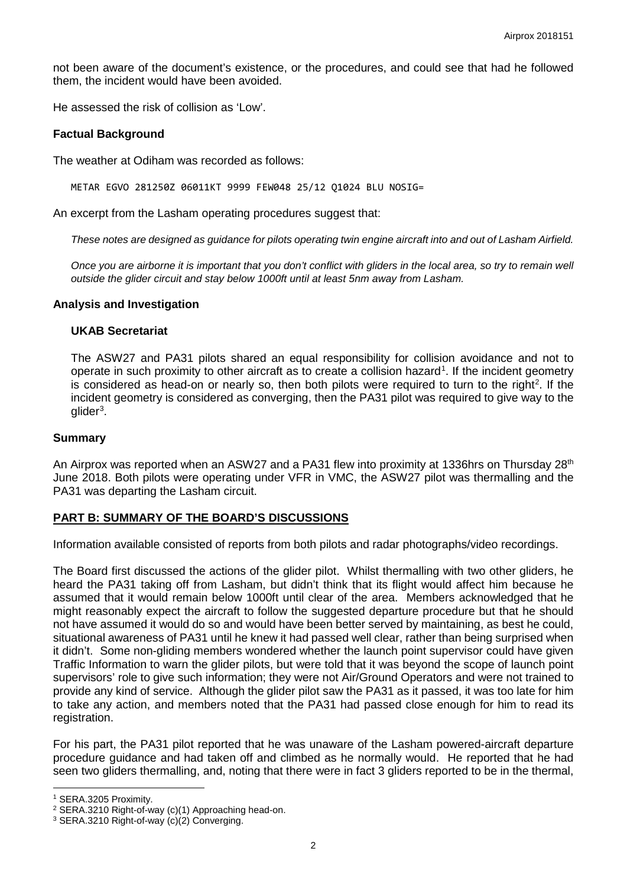not been aware of the document's existence, or the procedures, and could see that had he followed them, the incident would have been avoided.

He assessed the risk of collision as 'Low'.

#### **Factual Background**

The weather at Odiham was recorded as follows:

METAR EGVO 281250Z 06011KT 9999 FEW048 25/12 Q1024 BLU NOSIG=

An excerpt from the Lasham operating procedures suggest that:

*These notes are designed as guidance for pilots operating twin engine aircraft into and out of Lasham Airfield.*

*Once you are airborne it is important that you don't conflict with gliders in the local area, so try to remain well outside the glider circuit and stay below 1000ft until at least 5nm away from Lasham.*

#### **Analysis and Investigation**

#### **UKAB Secretariat**

The ASW27 and PA31 pilots shared an equal responsibility for collision avoidance and not to operate in such proximity to other aircraft as to create a collision hazard<sup>[1](#page-1-0)</sup>. If the incident geometry is considered as head-on or nearly so, then both pilots were required to turn to the right<sup>[2](#page-1-1)</sup>. If the incident geometry is considered as converging, then the PA31 pilot was required to give way to the glider<sup>[3](#page-1-2)</sup>.

#### **Summary**

An Airprox was reported when an ASW27 and a PA31 flew into proximity at 1336hrs on Thursday 28<sup>th</sup> June 2018. Both pilots were operating under VFR in VMC, the ASW27 pilot was thermalling and the PA31 was departing the Lasham circuit.

### **PART B: SUMMARY OF THE BOARD'S DISCUSSIONS**

Information available consisted of reports from both pilots and radar photographs/video recordings.

The Board first discussed the actions of the glider pilot. Whilst thermalling with two other gliders, he heard the PA31 taking off from Lasham, but didn't think that its flight would affect him because he assumed that it would remain below 1000ft until clear of the area. Members acknowledged that he might reasonably expect the aircraft to follow the suggested departure procedure but that he should not have assumed it would do so and would have been better served by maintaining, as best he could, situational awareness of PA31 until he knew it had passed well clear, rather than being surprised when it didn't. Some non-gliding members wondered whether the launch point supervisor could have given Traffic Information to warn the glider pilots, but were told that it was beyond the scope of launch point supervisors' role to give such information; they were not Air/Ground Operators and were not trained to provide any kind of service. Although the glider pilot saw the PA31 as it passed, it was too late for him to take any action, and members noted that the PA31 had passed close enough for him to read its registration.

For his part, the PA31 pilot reported that he was unaware of the Lasham powered-aircraft departure procedure guidance and had taken off and climbed as he normally would. He reported that he had seen two gliders thermalling, and, noting that there were in fact 3 gliders reported to be in the thermal,

 $\overline{\phantom{a}}$ 

<span id="page-1-0"></span><sup>1</sup> SERA.3205 Proximity.

<span id="page-1-1"></span><sup>2</sup> SERA.3210 Right-of-way (c)(1) Approaching head-on.

<span id="page-1-2"></span><sup>3</sup> SERA.3210 Right-of-way (c)(2) Converging.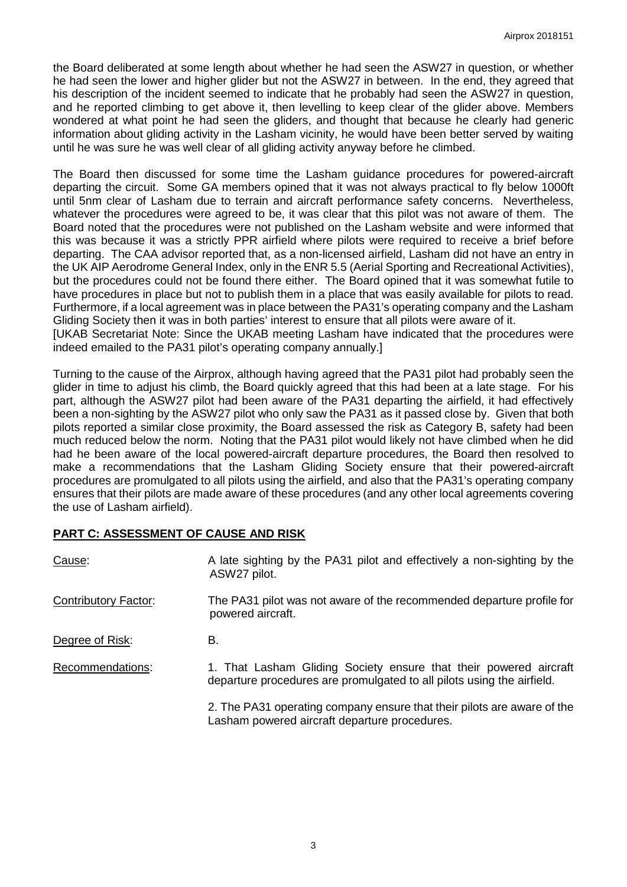the Board deliberated at some length about whether he had seen the ASW27 in question, or whether he had seen the lower and higher glider but not the ASW27 in between. In the end, they agreed that his description of the incident seemed to indicate that he probably had seen the ASW27 in question, and he reported climbing to get above it, then levelling to keep clear of the glider above. Members wondered at what point he had seen the gliders, and thought that because he clearly had generic information about gliding activity in the Lasham vicinity, he would have been better served by waiting until he was sure he was well clear of all gliding activity anyway before he climbed.

The Board then discussed for some time the Lasham guidance procedures for powered-aircraft departing the circuit. Some GA members opined that it was not always practical to fly below 1000ft until 5nm clear of Lasham due to terrain and aircraft performance safety concerns. Nevertheless, whatever the procedures were agreed to be, it was clear that this pilot was not aware of them. The Board noted that the procedures were not published on the Lasham website and were informed that this was because it was a strictly PPR airfield where pilots were required to receive a brief before departing. The CAA advisor reported that, as a non-licensed airfield, Lasham did not have an entry in the UK AIP Aerodrome General Index, only in the ENR 5.5 (Aerial Sporting and Recreational Activities), but the procedures could not be found there either. The Board opined that it was somewhat futile to have procedures in place but not to publish them in a place that was easily available for pilots to read. Furthermore, if a local agreement was in place between the PA31's operating company and the Lasham Gliding Society then it was in both parties' interest to ensure that all pilots were aware of it.

[UKAB Secretariat Note: Since the UKAB meeting Lasham have indicated that the procedures were indeed emailed to the PA31 pilot's operating company annually.]

Turning to the cause of the Airprox, although having agreed that the PA31 pilot had probably seen the glider in time to adjust his climb, the Board quickly agreed that this had been at a late stage. For his part, although the ASW27 pilot had been aware of the PA31 departing the airfield, it had effectively been a non-sighting by the ASW27 pilot who only saw the PA31 as it passed close by. Given that both pilots reported a similar close proximity, the Board assessed the risk as Category B, safety had been much reduced below the norm. Noting that the PA31 pilot would likely not have climbed when he did had he been aware of the local powered-aircraft departure procedures, the Board then resolved to make a recommendations that the Lasham Gliding Society ensure that their powered-aircraft procedures are promulgated to all pilots using the airfield, and also that the PA31's operating company ensures that their pilots are made aware of these procedures (and any other local agreements covering the use of Lasham airfield).

# **PART C: ASSESSMENT OF CAUSE AND RISK**

| Cause:                      | A late sighting by the PA31 pilot and effectively a non-sighting by the<br>ASW27 pilot.                                                     |
|-----------------------------|---------------------------------------------------------------------------------------------------------------------------------------------|
| <b>Contributory Factor:</b> | The PA31 pilot was not aware of the recommended departure profile for<br>powered aircraft.                                                  |
| Degree of Risk:             | В.                                                                                                                                          |
| Recommendations:            | 1. That Lasham Gliding Society ensure that their powered aircraft<br>departure procedures are promulgated to all pilots using the airfield. |
|                             | 2. The PA31 operating company ensure that their pilots are aware of the<br>Lasham powered aircraft departure procedures.                    |